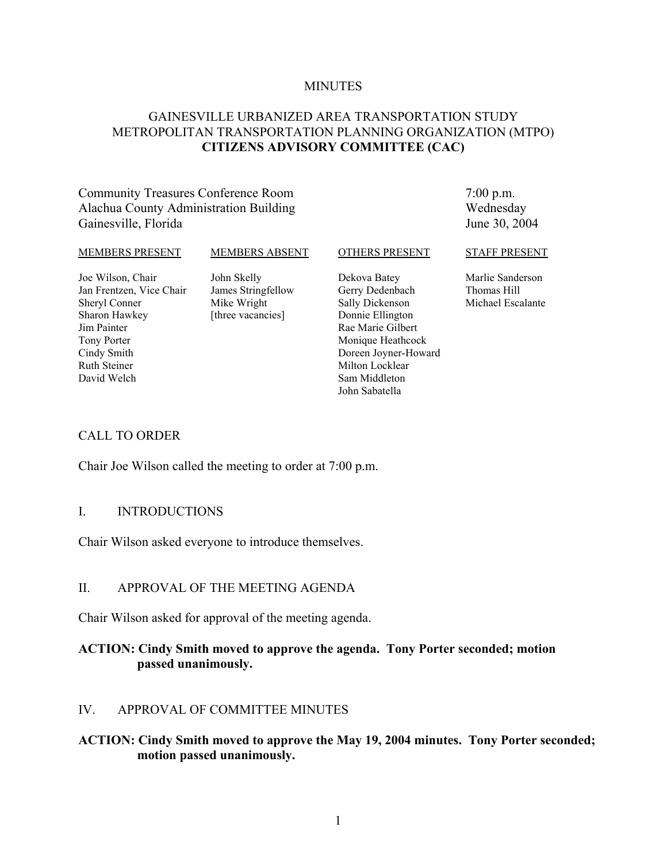#### **MINUTES**

## GAINESVILLE URBANIZED AREA TRANSPORTATION STUDY METROPOLITAN TRANSPORTATION PLANNING ORGANIZATION (MTPO) **CITIZENS ADVISORY COMMITTEE (CAC)**

## Community Treasures Conference Room Alachua County Administration Building Gainesville, Florida

7:00 p.m. Wednesday June 30, 2004

#### MEMBERS PRESENT

#### MEMBERS ABSENT

OTHERS PRESENT

Joe Wilson, Chair Jan Frentzen, Vice Chair Sheryl Conner Sharon Hawkey Jim Painter Tony Porter Cindy Smith Ruth Steiner David Welch

John Skelly James Stringfellow Mike Wright [three vacancies]

Dekova Batey Gerry Dedenbach Sally Dickenson Donnie Ellington Rae Marie Gilbert Monique Heathcock Doreen Joyner-Howard Milton Locklear Sam Middleton John Sabatella

#### STAFF PRESENT

Marlie Sanderson Thomas Hill Michael Escalante

## CALL TO ORDER

Chair Joe Wilson called the meeting to order at 7:00 p.m.

## I. INTRODUCTIONS

Chair Wilson asked everyone to introduce themselves.

## II. APPROVAL OF THE MEETING AGENDA

Chair Wilson asked for approval of the meeting agenda.

## **ACTION: Cindy Smith moved to approve the agenda. Tony Porter seconded; motion passed unanimously.**

## IV. APPROVAL OF COMMITTEE MINUTES

## **ACTION: Cindy Smith moved to approve the May 19, 2004 minutes. Tony Porter seconded; motion passed unanimously.**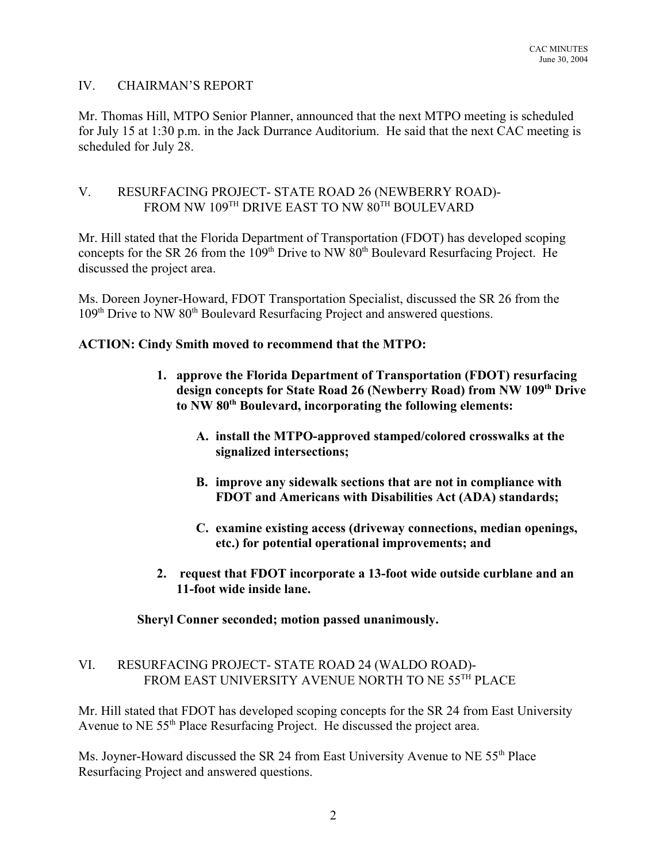## IV. CHAIRMAN'S REPORT

Mr. Thomas Hill, MTPO Senior Planner, announced that the next MTPO meeting is scheduled for July 15 at 1:30 p.m. in the Jack Durrance Auditorium. He said that the next CAC meeting is scheduled for July 28.

## V. RESURFACING PROJECT- STATE ROAD 26 (NEWBERRY ROAD)- FROM NW 109<sup>TH</sup> DRIVE EAST TO NW 80<sup>TH</sup> BOULEVARD

Mr. Hill stated that the Florida Department of Transportation (FDOT) has developed scoping concepts for the SR 26 from the 109<sup>th</sup> Drive to NW 80<sup>th</sup> Boulevard Resurfacing Project. He discussed the project area.

Ms. Doreen Joyner-Howard, FDOT Transportation Specialist, discussed the SR 26 from the 109<sup>th</sup> Drive to NW 80<sup>th</sup> Boulevard Resurfacing Project and answered questions.

## **ACTION: Cindy Smith moved to recommend that the MTPO:**

- **1. approve the Florida Department of Transportation (FDOT) resurfacing design concepts for State Road 26 (Newberry Road) from NW 109th Drive to NW 80th Boulevard, incorporating the following elements:**
	- **A. install the MTPO-approved stamped/colored crosswalks at the signalized intersections;**
	- **B. improve any sidewalk sections that are not in compliance with FDOT and Americans with Disabilities Act (ADA) standards;**
	- **C. examine existing access (driveway connections, median openings, etc.) for potential operational improvements; and**
- **2. request that FDOT incorporate a 13-foot wide outside curblane and an 11-foot wide inside lane.**

**Sheryl Conner seconded; motion passed unanimously.**

## VI. RESURFACING PROJECT- STATE ROAD 24 (WALDO ROAD)- FROM EAST UNIVERSITY AVENUE NORTH TO NE 55TH PLACE

Mr. Hill stated that FDOT has developed scoping concepts for the SR 24 from East University Avenue to NE 55<sup>th</sup> Place Resurfacing Project. He discussed the project area.

Ms. Joyner-Howard discussed the SR 24 from East University Avenue to NE 55<sup>th</sup> Place Resurfacing Project and answered questions.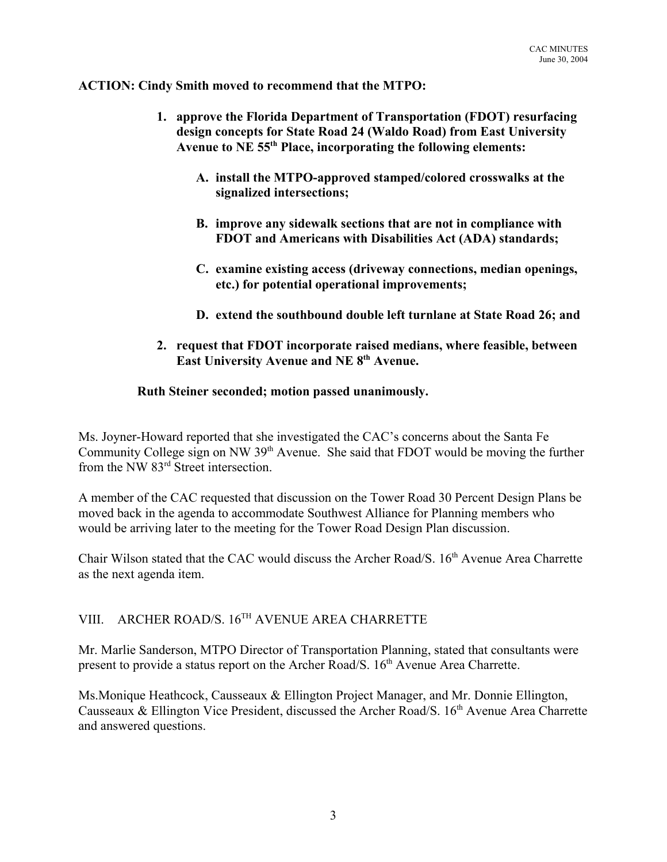**ACTION: Cindy Smith moved to recommend that the MTPO:** 

- **1. approve the Florida Department of Transportation (FDOT) resurfacing design concepts for State Road 24 (Waldo Road) from East University Avenue to NE 55th Place, incorporating the following elements:**
	- **A. install the MTPO-approved stamped/colored crosswalks at the signalized intersections;**
	- **B. improve any sidewalk sections that are not in compliance with FDOT and Americans with Disabilities Act (ADA) standards;**
	- **C. examine existing access (driveway connections, median openings, etc.) for potential operational improvements;**
	- **D. extend the southbound double left turnlane at State Road 26; and**
- **2. request that FDOT incorporate raised medians, where feasible, between** East University Avenue and NE 8<sup>th</sup> Avenue.

## **Ruth Steiner seconded; motion passed unanimously.**

Ms. Joyner-Howard reported that she investigated the CAC's concerns about the Santa Fe Community College sign on NW 39<sup>th</sup> Avenue. She said that FDOT would be moving the further from the NW 83<sup>rd</sup> Street intersection.

A member of the CAC requested that discussion on the Tower Road 30 Percent Design Plans be moved back in the agenda to accommodate Southwest Alliance for Planning members who would be arriving later to the meeting for the Tower Road Design Plan discussion.

Chair Wilson stated that the CAC would discuss the Archer Road/S. 16<sup>th</sup> Avenue Area Charrette as the next agenda item.

# VIII. ARCHER ROAD/S. 16TH AVENUE AREA CHARRETTE

Mr. Marlie Sanderson, MTPO Director of Transportation Planning, stated that consultants were present to provide a status report on the Archer Road/S. 16<sup>th</sup> Avenue Area Charrette.

Ms.Monique Heathcock, Causseaux & Ellington Project Manager, and Mr. Donnie Ellington, Causseaux & Ellington Vice President, discussed the Archer Road/S.  $16<sup>th</sup>$  Avenue Area Charrette and answered questions.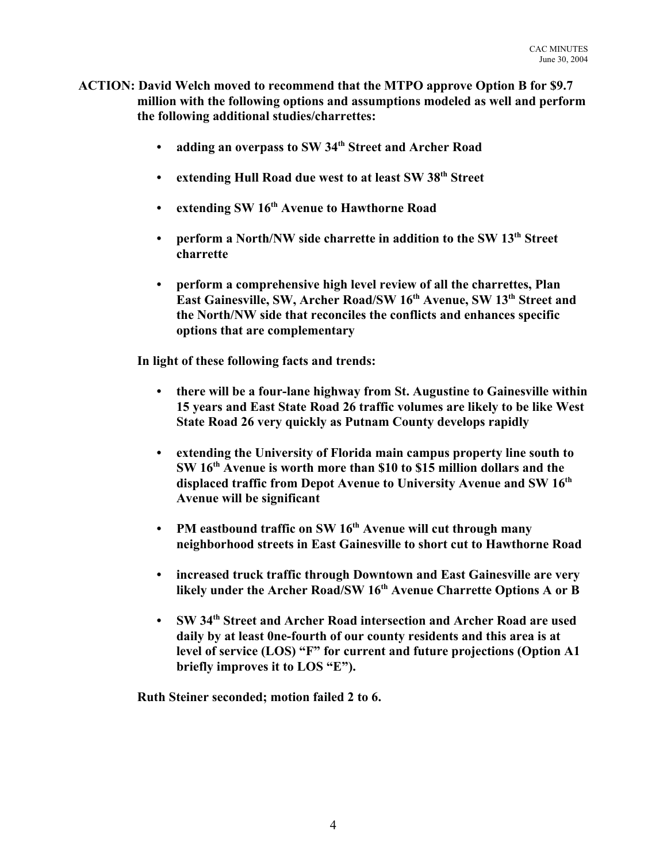- **ACTION: David Welch moved to recommend that the MTPO approve Option B for \$9.7 million with the following options and assumptions modeled as well and perform the following additional studies/charrettes:**
	- **adding an overpass to SW 34th Street and Archer Road**
	- **extending Hull Road due west to at least SW 38th Street**
	- **extending SW 16th Avenue to Hawthorne Road**
	- perform a North/NW side charrette in addition to the SW 13<sup>th</sup> Street **charrette**
	- **perform a comprehensive high level review of all the charrettes, Plan** East Gainesville, SW, Archer Road/SW 16<sup>th</sup> Avenue, SW 13<sup>th</sup> Street and **the North/NW side that reconciles the conflicts and enhances specific options that are complementary**

**In light of these following facts and trends:**

- **there will be a four-lane highway from St. Augustine to Gainesville within 15 years and East State Road 26 traffic volumes are likely to be like West State Road 26 very quickly as Putnam County develops rapidly**
- **extending the University of Florida main campus property line south to SW 16th Avenue is worth more than \$10 to \$15 million dollars and the displaced traffic from Depot Avenue to University Avenue and SW 16th Avenue will be significant**
- **PM eastbound traffic on SW 16<sup>th</sup> Avenue will cut through many neighborhood streets in East Gainesville to short cut to Hawthorne Road**
- **increased truck traffic through Downtown and East Gainesville are very** likely under the Archer Road/SW 16<sup>th</sup> Avenue Charrette Options A or B
- **SW 34th Street and Archer Road intersection and Archer Road are used daily by at least 0ne-fourth of our county residents and this area is at level of service (LOS) "F" for current and future projections (Option A1 briefly improves it to LOS "E").**

**Ruth Steiner seconded; motion failed 2 to 6.**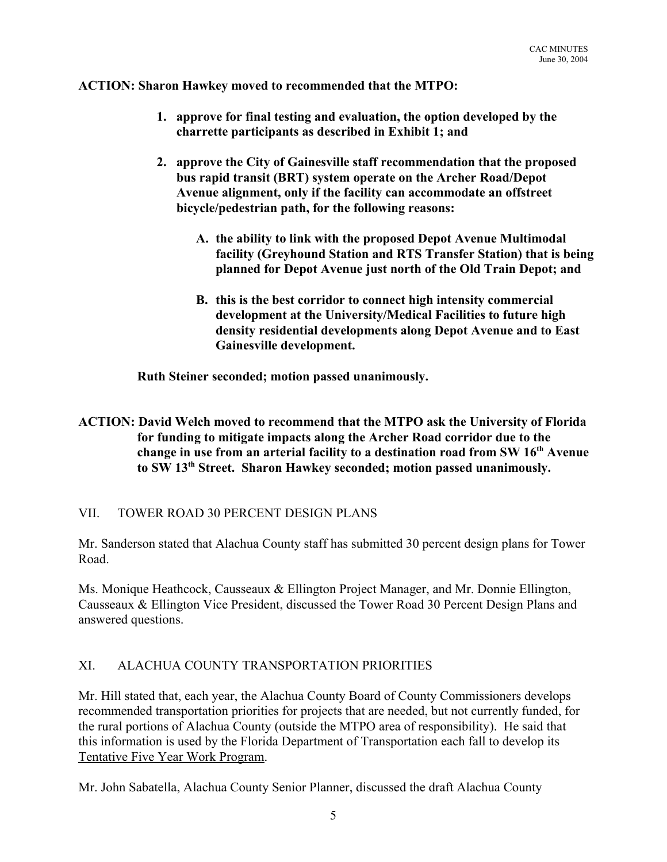**ACTION: Sharon Hawkey moved to recommended that the MTPO:**

- **1. approve for final testing and evaluation, the option developed by the charrette participants as described in Exhibit 1; and**
- **2. approve the City of Gainesville staff recommendation that the proposed bus rapid transit (BRT) system operate on the Archer Road/Depot Avenue alignment, only if the facility can accommodate an offstreet bicycle/pedestrian path, for the following reasons:**
	- **A. the ability to link with the proposed Depot Avenue Multimodal facility (Greyhound Station and RTS Transfer Station) that is being planned for Depot Avenue just north of the Old Train Depot; and**
	- **B. this is the best corridor to connect high intensity commercial development at the University/Medical Facilities to future high density residential developments along Depot Avenue and to East Gainesville development.**

**Ruth Steiner seconded; motion passed unanimously.**

## **ACTION: David Welch moved to recommend that the MTPO ask the University of Florida for funding to mitigate impacts along the Archer Road corridor due to the change in use from an arterial facility to a destination road from SW 16th Avenue to SW 13th Street. Sharon Hawkey seconded; motion passed unanimously.**

## VII. TOWER ROAD 30 PERCENT DESIGN PLANS

Mr. Sanderson stated that Alachua County staff has submitted 30 percent design plans for Tower Road.

Ms. Monique Heathcock, Causseaux & Ellington Project Manager, and Mr. Donnie Ellington, Causseaux & Ellington Vice President, discussed the Tower Road 30 Percent Design Plans and answered questions.

## XI. ALACHUA COUNTY TRANSPORTATION PRIORITIES

Mr. Hill stated that, each year, the Alachua County Board of County Commissioners develops recommended transportation priorities for projects that are needed, but not currently funded, for the rural portions of Alachua County (outside the MTPO area of responsibility). He said that this information is used by the Florida Department of Transportation each fall to develop its Tentative Five Year Work Program.

Mr. John Sabatella, Alachua County Senior Planner, discussed the draft Alachua County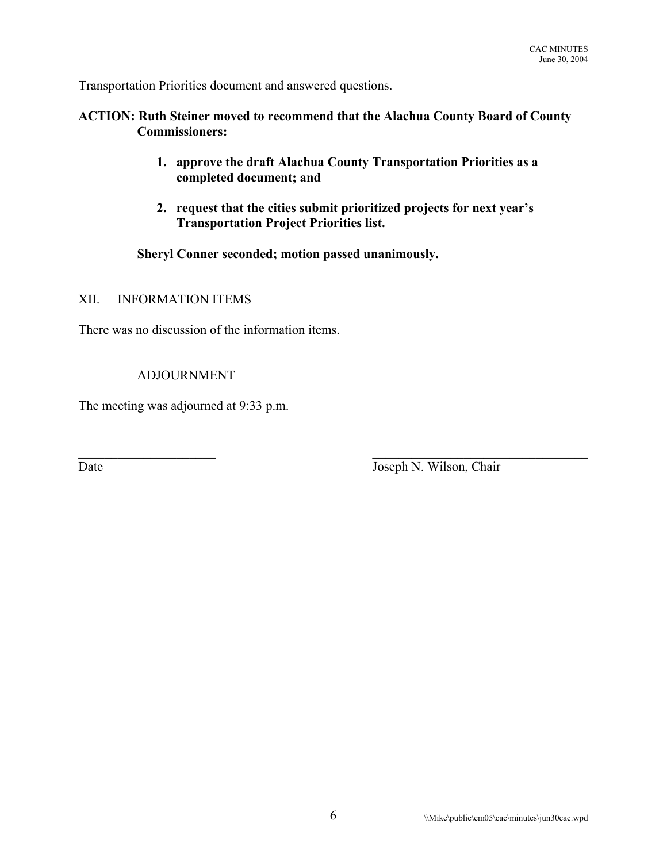Transportation Priorities document and answered questions.

## **ACTION: Ruth Steiner moved to recommend that the Alachua County Board of County Commissioners:**

- **1. approve the draft Alachua County Transportation Priorities as a completed document; and**
- **2. request that the cities submit prioritized projects for next year's Transportation Project Priorities list.**

 $\mathcal{L}_\text{max}$  and the contract of the contract of the contract of the contract of the contract of the contract of

**Sheryl Conner seconded; motion passed unanimously.**

## XII. INFORMATION ITEMS

There was no discussion of the information items.

## ADJOURNMENT

The meeting was adjourned at 9:33 p.m.

Date Joseph N. Wilson, Chair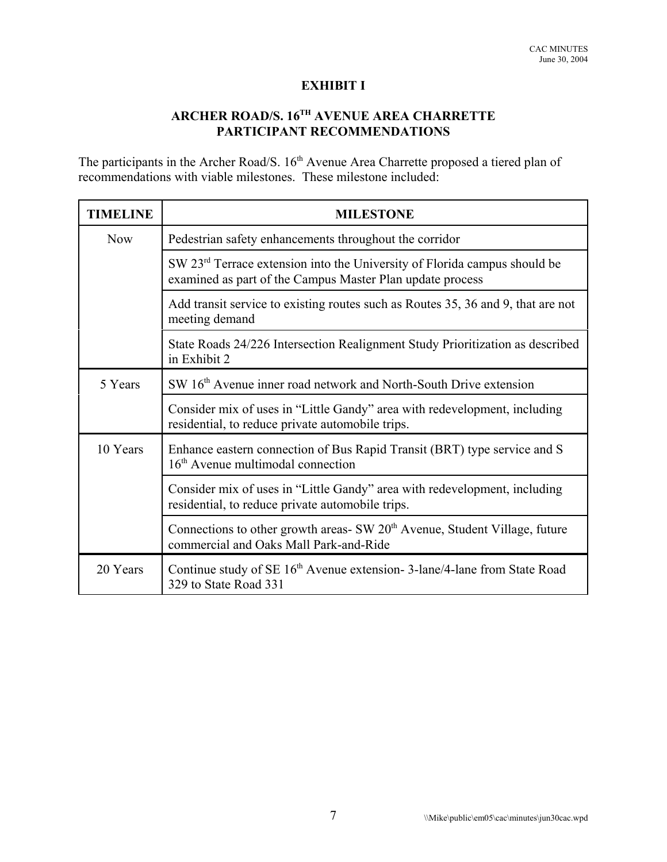## **EXHIBIT I**

## **ARCHER ROAD/S. 16TH AVENUE AREA CHARRETTE PARTICIPANT RECOMMENDATIONS**

The participants in the Archer Road/S. 16<sup>th</sup> Avenue Area Charrette proposed a tiered plan of recommendations with viable milestones. These milestone included:

| <b>TIMELINE</b> | <b>MILESTONE</b>                                                                                                                                   |
|-----------------|----------------------------------------------------------------------------------------------------------------------------------------------------|
| <b>Now</b>      | Pedestrian safety enhancements throughout the corridor                                                                                             |
|                 | SW 23 <sup>rd</sup> Terrace extension into the University of Florida campus should be<br>examined as part of the Campus Master Plan update process |
|                 | Add transit service to existing routes such as Routes 35, 36 and 9, that are not<br>meeting demand                                                 |
|                 | State Roads 24/226 Intersection Realignment Study Prioritization as described<br>in Exhibit 2                                                      |
| 5 Years         | SW 16 <sup>th</sup> Avenue inner road network and North-South Drive extension                                                                      |
|                 | Consider mix of uses in "Little Gandy" area with redevelopment, including<br>residential, to reduce private automobile trips.                      |
| 10 Years        | Enhance eastern connection of Bus Rapid Transit (BRT) type service and S<br>16 <sup>th</sup> Avenue multimodal connection                          |
|                 | Consider mix of uses in "Little Gandy" area with redevelopment, including<br>residential, to reduce private automobile trips.                      |
|                 | Connections to other growth areas- SW $20th$ Avenue, Student Village, future<br>commercial and Oaks Mall Park-and-Ride                             |
| 20 Years        | Continue study of SE 16 <sup>th</sup> Avenue extension-3-lane/4-lane from State Road<br>329 to State Road 331                                      |